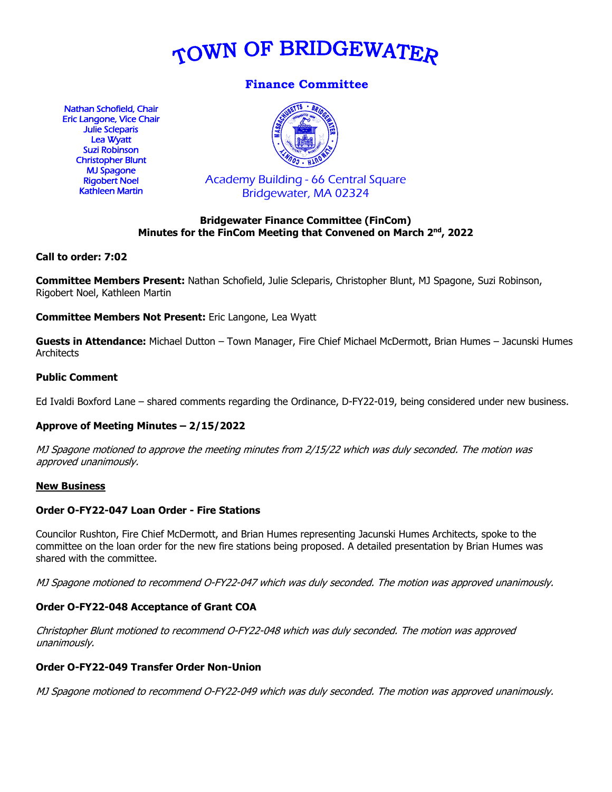

# **Finance Committee**

Nathan Schofield, Chair Eric Langone, Vice Chair Julie Scleparis Lea Wyatt Suzi Robinson Christopher Blunt MJ Spagone Rigobert Noel Kathleen Martin



Academy Building - 66 Central Square Bridgewater, MA 02324

### **Bridgewater Finance Committee (FinCom) Minutes for the FinCom Meeting that Convened on March 2nd, 2022**

### **Call to order: 7:02**

**Committee Members Present:** Nathan Schofield, Julie Scleparis, Christopher Blunt, MJ Spagone, Suzi Robinson, Rigobert Noel, Kathleen Martin

**Committee Members Not Present:** Eric Langone, Lea Wyatt

**Guests in Attendance:** Michael Dutton – Town Manager, Fire Chief Michael McDermott, Brian Humes – Jacunski Humes **Architects** 

### **Public Comment**

Ed Ivaldi Boxford Lane – shared comments regarding the Ordinance, D-FY22-019, being considered under new business.

# **Approve of Meeting Minutes – 2/15/2022**

MJ Spagone motioned to approve the meeting minutes from 2/15/22 which was duly seconded. The motion was approved unanimously.

#### **New Business**

#### **Order O-FY22-047 Loan Order - Fire Stations**

Councilor Rushton, Fire Chief McDermott, and Brian Humes representing Jacunski Humes Architects, spoke to the committee on the loan order for the new fire stations being proposed. A detailed presentation by Brian Humes was shared with the committee.

MJ Spagone motioned to recommend O-FY22-047 which was duly seconded. The motion was approved unanimously.

# **Order O-FY22-048 Acceptance of Grant COA**

Christopher Blunt motioned to recommend O-FY22-048 which was duly seconded. The motion was approved unanimously.

#### **Order O-FY22-049 Transfer Order Non-Union**

MJ Spagone motioned to recommend O-FY22-049 which was duly seconded. The motion was approved unanimously.